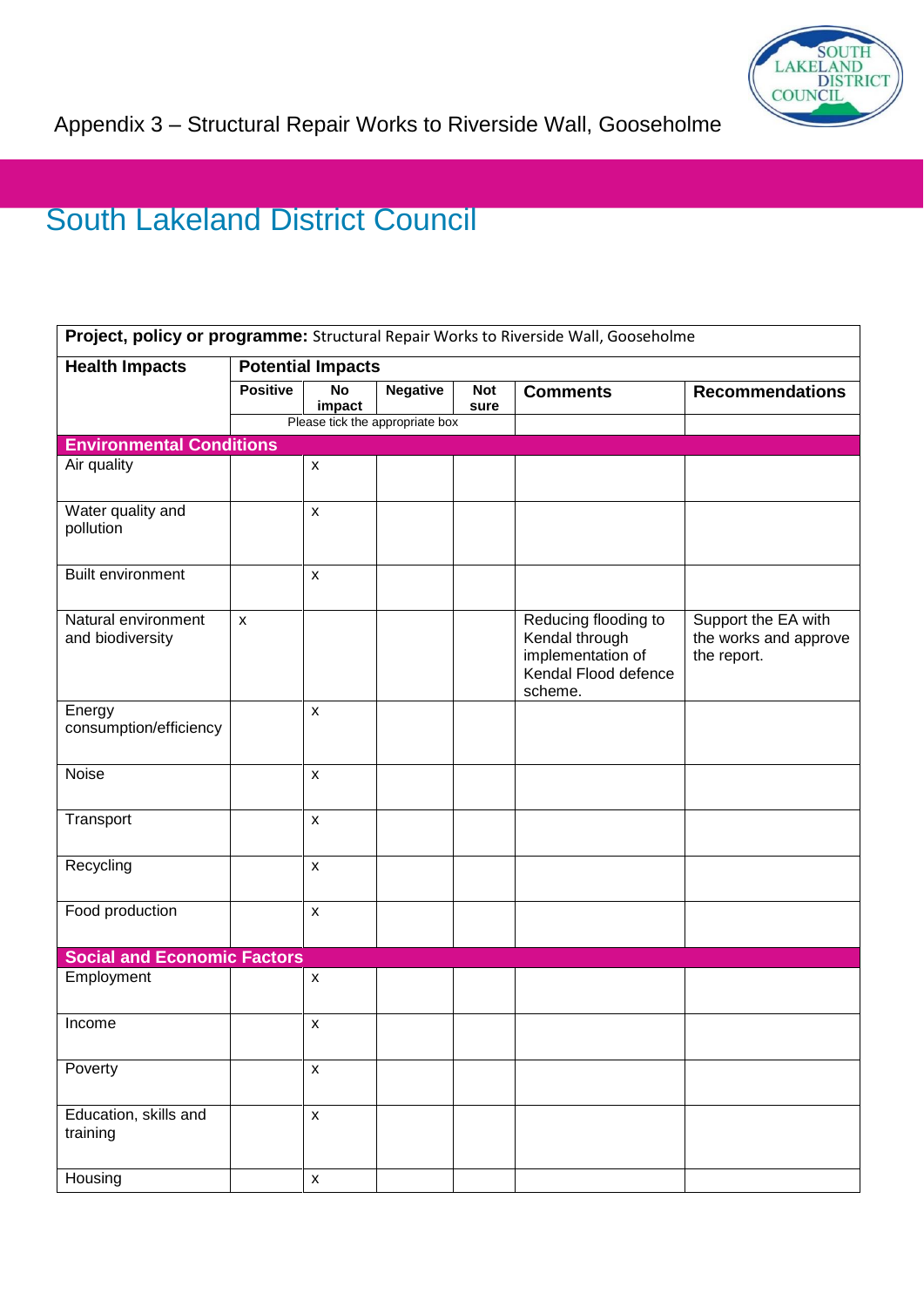

## South Lakeland District Council

| Project, policy or programme: Structural Repair Works to Riverside Wall, Gooseholme |                          |                     |                                 |                    |                                                                                                |                                                             |  |  |  |
|-------------------------------------------------------------------------------------|--------------------------|---------------------|---------------------------------|--------------------|------------------------------------------------------------------------------------------------|-------------------------------------------------------------|--|--|--|
| <b>Health Impacts</b>                                                               | <b>Potential Impacts</b> |                     |                                 |                    |                                                                                                |                                                             |  |  |  |
|                                                                                     | <b>Positive</b>          | <b>No</b><br>impact | <b>Negative</b>                 | <b>Not</b><br>sure | <b>Comments</b>                                                                                | <b>Recommendations</b>                                      |  |  |  |
|                                                                                     |                          |                     | Please tick the appropriate box |                    |                                                                                                |                                                             |  |  |  |
| <b>Environmental Conditions</b>                                                     |                          |                     |                                 |                    |                                                                                                |                                                             |  |  |  |
| Air quality                                                                         |                          | $\pmb{\mathsf{x}}$  |                                 |                    |                                                                                                |                                                             |  |  |  |
| Water quality and<br>pollution                                                      |                          | $\pmb{\mathsf{x}}$  |                                 |                    |                                                                                                |                                                             |  |  |  |
| Built environment                                                                   |                          | $\pmb{\mathsf{X}}$  |                                 |                    |                                                                                                |                                                             |  |  |  |
| Natural environment<br>and biodiversity                                             | $\mathsf{x}$             |                     |                                 |                    | Reducing flooding to<br>Kendal through<br>implementation of<br>Kendal Flood defence<br>scheme. | Support the EA with<br>the works and approve<br>the report. |  |  |  |
| Energy<br>consumption/efficiency                                                    |                          | $\pmb{\mathsf{X}}$  |                                 |                    |                                                                                                |                                                             |  |  |  |
| Noise                                                                               |                          | $\pmb{\mathsf{X}}$  |                                 |                    |                                                                                                |                                                             |  |  |  |
| Transport                                                                           |                          | $\mathsf{x}$        |                                 |                    |                                                                                                |                                                             |  |  |  |
| Recycling                                                                           |                          | $\mathsf{x}$        |                                 |                    |                                                                                                |                                                             |  |  |  |
| Food production                                                                     |                          | $\pmb{\mathsf{X}}$  |                                 |                    |                                                                                                |                                                             |  |  |  |
| <b>Social and Economic Factors</b>                                                  |                          |                     |                                 |                    |                                                                                                |                                                             |  |  |  |
| Employment                                                                          |                          | $\pmb{\mathsf{X}}$  |                                 |                    |                                                                                                |                                                             |  |  |  |
| Income                                                                              |                          | $\pmb{\mathsf{X}}$  |                                 |                    |                                                                                                |                                                             |  |  |  |
| Poverty                                                                             |                          | $\pmb{\mathsf{X}}$  |                                 |                    |                                                                                                |                                                             |  |  |  |
| Education, skills and<br>training                                                   |                          | $\pmb{\mathsf{x}}$  |                                 |                    |                                                                                                |                                                             |  |  |  |
| Housing                                                                             |                          | $\pmb{\mathsf{x}}$  |                                 |                    |                                                                                                |                                                             |  |  |  |